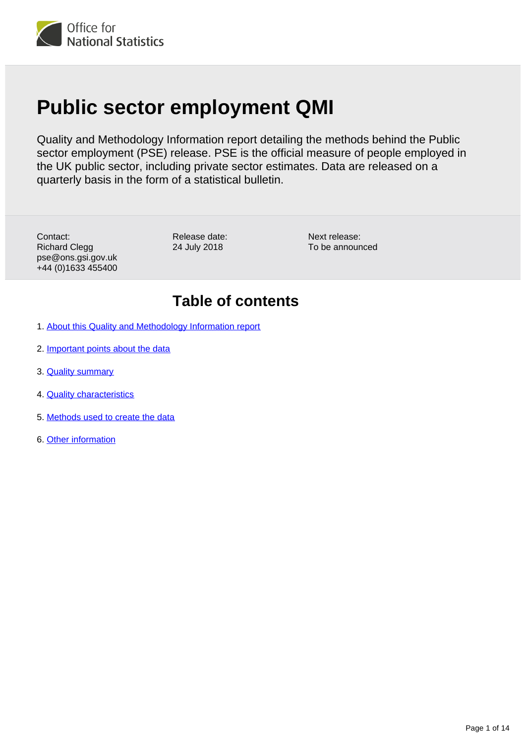

# **Public sector employment QMI**

Quality and Methodology Information report detailing the methods behind the Public sector employment (PSE) release. PSE is the official measure of people employed in the UK public sector, including private sector estimates. Data are released on a quarterly basis in the form of a statistical bulletin.

Contact: Richard Clegg pse@ons.gsi.gov.uk +44 (0)1633 455400

Release date: 24 July 2018

Next release: To be announced

## **Table of contents**

- 1. [About this Quality and Methodology Information report](#page-1-0)
- 2. [Important points about the data](#page-1-1)
- 3. **[Quality summary](#page-1-2)**
- 4. [Quality characteristics](#page-3-0)
- 5. [Methods used to create the data](#page-9-0)
- 6. [Other information](#page-12-0)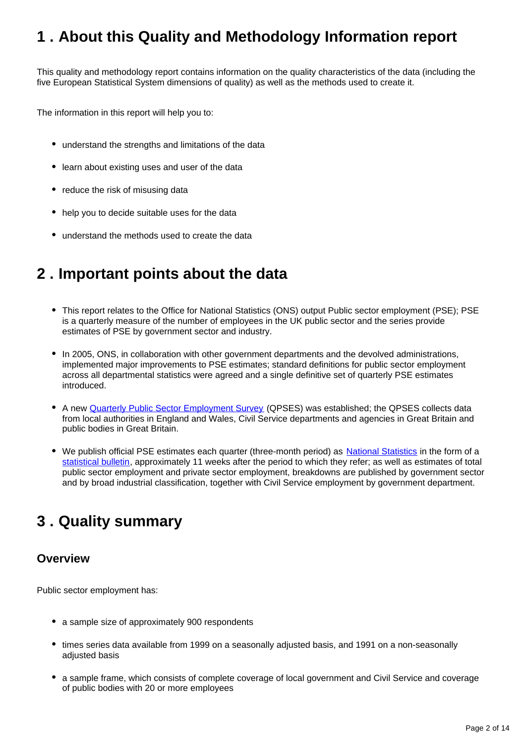## <span id="page-1-0"></span>**1 . About this Quality and Methodology Information report**

This quality and methodology report contains information on the quality characteristics of the data (including the five European Statistical System dimensions of quality) as well as the methods used to create it.

The information in this report will help you to:

- understand the strengths and limitations of the data
- learn about existing uses and user of the data
- reduce the risk of misusing data
- help you to decide suitable uses for the data
- understand the methods used to create the data

## <span id="page-1-1"></span>**2 . Important points about the data**

- This report relates to the Office for National Statistics (ONS) output Public sector employment (PSE); PSE is a quarterly measure of the number of employees in the UK public sector and the series provide estimates of PSE by government sector and industry.
- In 2005, ONS, in collaboration with other government departments and the devolved administrations, implemented major improvements to PSE estimates; standard definitions for public sector employment across all departmental statistics were agreed and a single definitive set of quarterly PSE estimates introduced.
- A new **[Quarterly Public Sector Employment Survey](https://www.ons.gov.uk/surveys/informationforbusinesses/businesssurveys/quarterlypublicsectoremploymentsurvey)** (QPSES) was established; the QPSES collects data from local authorities in England and Wales, Civil Service departments and agencies in Great Britain and public bodies in Great Britain.
- We publish official PSE estimates each quarter (three-month period) as [National Statistics](https://www.statisticsauthority.gov.uk/national-statistician/types-of-official-statistics/) in the form of a [statistical bulletin](https://www.ons.gov.uk/employmentandlabourmarket/peopleinwork/publicsectorpersonnel/bulletins/publicsectoremployment/previousReleases), approximately 11 weeks after the period to which they refer; as well as estimates of total public sector employment and private sector employment, breakdowns are published by government sector and by broad industrial classification, together with Civil Service employment by government department.

## <span id="page-1-2"></span>**3 . Quality summary**

#### **Overview**

Public sector employment has:

- a sample size of approximately 900 respondents
- times series data available from 1999 on a seasonally adjusted basis, and 1991 on a non-seasonally adjusted basis
- a sample frame, which consists of complete coverage of local government and Civil Service and coverage of public bodies with 20 or more employees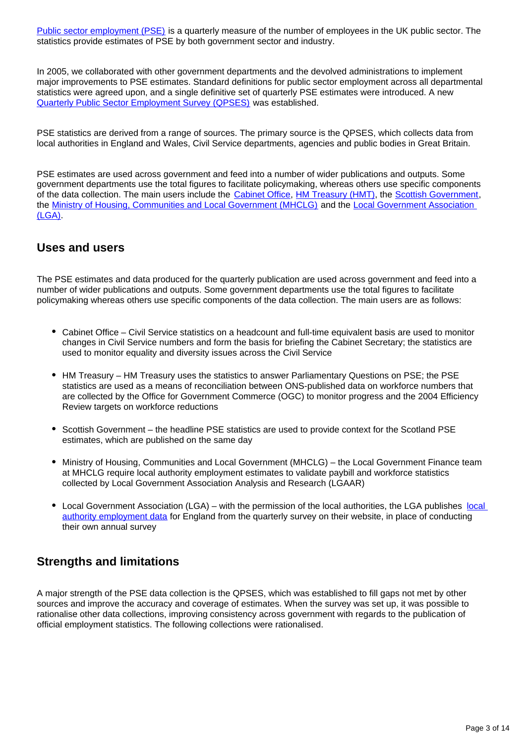[Public sector employment \(PSE\)](http://www.ons.gov.uk/ons/rel/pse/public-sector-employment/index.html) is a quarterly measure of the number of employees in the UK public sector. The statistics provide estimates of PSE by both government sector and industry.

In 2005, we collaborated with other government departments and the devolved administrations to implement major improvements to PSE estimates. Standard definitions for public sector employment across all departmental statistics were agreed upon, and a single definitive set of quarterly PSE estimates were introduced. A new [Quarterly Public Sector Employment Survey \(QPSES\)](http://www.ons.gov.uk/ons/about-ons/get-involved/taking-part-in-a-survey/information-for-businesses/a-to-z-of-business-surveys/quarterly-public-sector-employment-survey/index.html) was established.

PSE statistics are derived from a range of sources. The primary source is the QPSES, which collects data from local authorities in England and Wales, Civil Service departments, agencies and public bodies in Great Britain.

PSE estimates are used across government and feed into a number of wider publications and outputs. Some government departments use the total figures to facilitate policymaking, whereas others use specific components of the data collection. The main users include the [Cabinet Office](https://www.gov.uk/government/organisations/cabinet-office), [HM Treasury \(HMT\),](https://www.gov.uk/government/organisations/hm-treasury) the [Scottish Government,](http://www.gov.scot/) the [Ministry of Housing, Communities and Local Government \(MHCLG\)](https://www.gov.uk/government/organisations/ministry-of-housing-communities-and-local-government) and the [Local Government Association](http://www.local.gov.uk/)  [\(LGA\).](http://www.local.gov.uk/)

#### **Uses and users**

The PSE estimates and data produced for the quarterly publication are used across government and feed into a number of wider publications and outputs. Some government departments use the total figures to facilitate policymaking whereas others use specific components of the data collection. The main users are as follows:

- Cabinet Office Civil Service statistics on a headcount and full-time equivalent basis are used to monitor changes in Civil Service numbers and form the basis for briefing the Cabinet Secretary; the statistics are used to monitor equality and diversity issues across the Civil Service
- HM Treasury HM Treasury uses the statistics to answer Parliamentary Questions on PSE; the PSE statistics are used as a means of reconciliation between ONS-published data on workforce numbers that are collected by the Office for Government Commerce (OGC) to monitor progress and the 2004 Efficiency Review targets on workforce reductions
- Scottish Government the headline PSE statistics are used to provide context for the Scotland PSE estimates, which are published on the same day
- Ministry of Housing, Communities and Local Government (MHCLG) the Local Government Finance team at MHCLG require local authority employment estimates to validate paybill and workforce statistics collected by Local Government Association Analysis and Research (LGAAR)
- Local Government Association (LGA) with the permission of the [local](https://www.local.gov.uk/ons-quarterly-public-sector-employment-survey) authorities, the LGA publishes local [authority employment data](https://www.local.gov.uk/ons-quarterly-public-sector-employment-survey) for England from the quarterly survey on their website, in place of conducting their own annual survey

## **Strengths and limitations**

A major strength of the PSE data collection is the QPSES, which was established to fill gaps not met by other sources and improve the accuracy and coverage of estimates. When the survey was set up, it was possible to rationalise other data collections, improving consistency across government with regards to the publication of official employment statistics. The following collections were rationalised.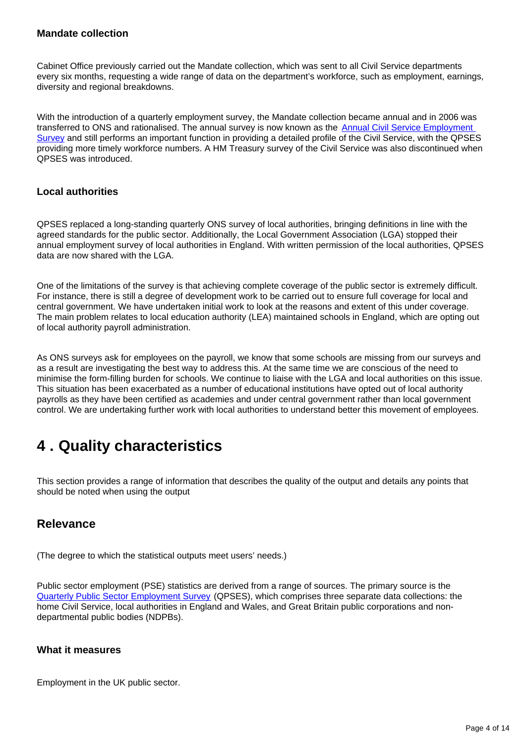#### **Mandate collection**

Cabinet Office previously carried out the Mandate collection, which was sent to all Civil Service departments every six months, requesting a wide range of data on the department's workforce, such as employment, earnings, diversity and regional breakdowns.

With the introduction of a quarterly employment survey, the Mandate collection became annual and in 2006 was transferred to ONS and rationalised. The annual survey is now known as the [Annual Civil Service Employment](https://www.ons.gov.uk/employmentandlabourmarket/peopleinwork/publicsectorpersonnel/bulletins/civilservicestatistics/previousReleases)  [Survey](https://www.ons.gov.uk/employmentandlabourmarket/peopleinwork/publicsectorpersonnel/bulletins/civilservicestatistics/previousReleases) and still performs an important function in providing a detailed profile of the Civil Service, with the QPSES providing more timely workforce numbers. A HM Treasury survey of the Civil Service was also discontinued when QPSES was introduced.

#### **Local authorities**

QPSES replaced a long-standing quarterly ONS survey of local authorities, bringing definitions in line with the agreed standards for the public sector. Additionally, the Local Government Association (LGA) stopped their annual employment survey of local authorities in England. With written permission of the local authorities, QPSES data are now shared with the LGA.

One of the limitations of the survey is that achieving complete coverage of the public sector is extremely difficult. For instance, there is still a degree of development work to be carried out to ensure full coverage for local and central government. We have undertaken initial work to look at the reasons and extent of this under coverage. The main problem relates to local education authority (LEA) maintained schools in England, which are opting out of local authority payroll administration.

As ONS surveys ask for employees on the payroll, we know that some schools are missing from our surveys and as a result are investigating the best way to address this. At the same time we are conscious of the need to minimise the form-filling burden for schools. We continue to liaise with the LGA and local authorities on this issue. This situation has been exacerbated as a number of educational institutions have opted out of local authority payrolls as they have been certified as academies and under central government rather than local government control. We are undertaking further work with local authorities to understand better this movement of employees.

## <span id="page-3-0"></span>**4 . Quality characteristics**

This section provides a range of information that describes the quality of the output and details any points that should be noted when using the output

### **Relevance**

(The degree to which the statistical outputs meet users' needs.)

Public sector employment (PSE) statistics are derived from a range of sources. The primary source is the [Quarterly Public Sector Employment Survey](https://www.ons.gov.uk/surveys/informationforbusinesses/businesssurveys/quarterlypublicsectoremploymentsurvey) (QPSES), which comprises three separate data collections: the home Civil Service, local authorities in England and Wales, and Great Britain public corporations and nondepartmental public bodies (NDPBs).

#### **What it measures**

Employment in the UK public sector.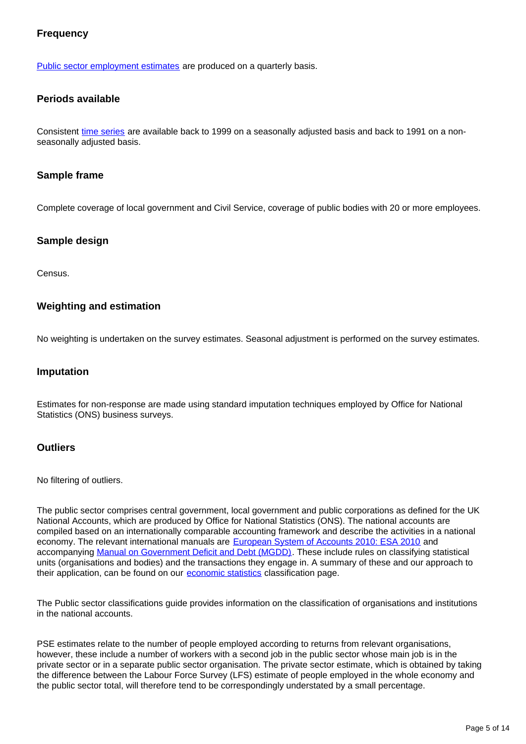#### **Frequency**

[Public sector employment estimates](https://www.ons.gov.uk/employmentandlabourmarket/peopleinwork/publicsectorpersonnel/bulletins/publicsectoremployment/previousReleases) are produced on a quarterly basis.

#### **Periods available**

Consistent [time series](https://www.ons.gov.uk/employmentandlabourmarket/peopleinwork/publicsectorpersonnel/datasets/publicsectoremploymenttimeseriesdataset) are available back to 1999 on a seasonally adjusted basis and back to 1991 on a nonseasonally adjusted basis.

#### **Sample frame**

Complete coverage of local government and Civil Service, coverage of public bodies with 20 or more employees.

#### **Sample design**

Census.

#### **Weighting and estimation**

No weighting is undertaken on the survey estimates. Seasonal adjustment is performed on the survey estimates.

#### **Imputation**

Estimates for non-response are made using standard imputation techniques employed by Office for National Statistics (ONS) business surveys.

#### **Outliers**

No filtering of outliers.

The public sector comprises central government, local government and public corporations as defined for the UK National Accounts, which are produced by Office for National Statistics (ONS). The national accounts are compiled based on an internationally comparable accounting framework and describe the activities in a national economy. The relevant international manuals are [European System of Accounts 2010: ESA 2010](http://ec.europa.eu/eurostat/web/esa-2010) and accompanying [Manual on Government Deficit and Debt \(MGDD\).](http://ec.europa.eu/eurostat/web/products-manuals-and-guidelines/-/KS-GQ-16-001) These include rules on classifying statistical units (organisations and bodies) and the transactions they engage in. A summary of these and our approach to their application, can be found on our **[economic statistics](https://www.ons.gov.uk/methodology/classificationsandstandards/economicstatisticsclassifications)** classification page.

The Public sector classifications guide provides information on the classification of organisations and institutions in the national accounts.

PSE estimates relate to the number of people employed according to returns from relevant organisations, however, these include a number of workers with a second job in the public sector whose main job is in the private sector or in a separate public sector organisation. The private sector estimate, which is obtained by taking the difference between the Labour Force Survey (LFS) estimate of people employed in the whole economy and the public sector total, will therefore tend to be correspondingly understated by a small percentage.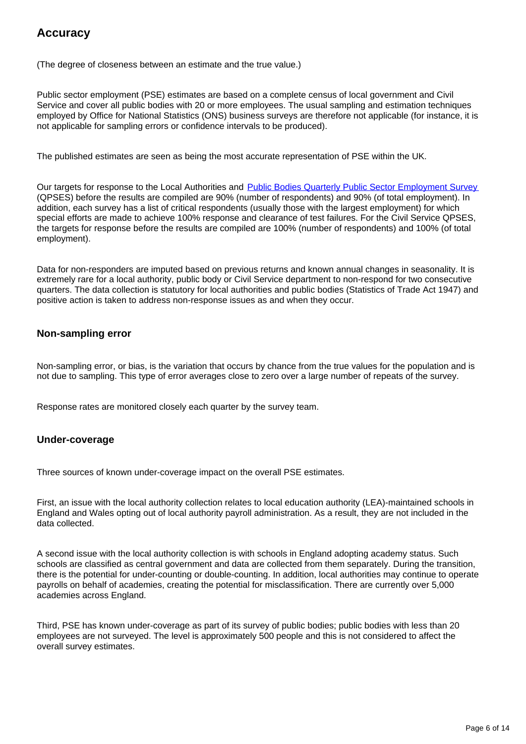## **Accuracy**

(The degree of closeness between an estimate and the true value.)

Public sector employment (PSE) estimates are based on a complete census of local government and Civil Service and cover all public bodies with 20 or more employees. The usual sampling and estimation techniques employed by Office for National Statistics (ONS) business surveys are therefore not applicable (for instance, it is not applicable for sampling errors or confidence intervals to be produced).

The published estimates are seen as being the most accurate representation of PSE within the UK.

Our targets for response to the Local Authorities and **[Public Bodies Quarterly Public Sector Employment Survey](https://www.ons.gov.uk/surveys/informationforbusinesses/businesssurveys/quarterlypublicsectoremploymentsurvey)** (QPSES) before the results are compiled are 90% (number of respondents) and 90% (of total employment). In addition, each survey has a list of critical respondents (usually those with the largest employment) for which special efforts are made to achieve 100% response and clearance of test failures. For the Civil Service QPSES, the targets for response before the results are compiled are 100% (number of respondents) and 100% (of total employment).

Data for non-responders are imputed based on previous returns and known annual changes in seasonality. It is extremely rare for a local authority, public body or Civil Service department to non-respond for two consecutive quarters. The data collection is statutory for local authorities and public bodies (Statistics of Trade Act 1947) and positive action is taken to address non-response issues as and when they occur.

#### **Non-sampling error**

Non-sampling error, or bias, is the variation that occurs by chance from the true values for the population and is not due to sampling. This type of error averages close to zero over a large number of repeats of the survey.

Response rates are monitored closely each quarter by the survey team.

#### **Under-coverage**

Three sources of known under-coverage impact on the overall PSE estimates.

First, an issue with the local authority collection relates to local education authority (LEA)-maintained schools in England and Wales opting out of local authority payroll administration. As a result, they are not included in the data collected.

A second issue with the local authority collection is with schools in England adopting academy status. Such schools are classified as central government and data are collected from them separately. During the transition, there is the potential for under-counting or double-counting. In addition, local authorities may continue to operate payrolls on behalf of academies, creating the potential for misclassification. There are currently over 5,000 academies across England.

Third, PSE has known under-coverage as part of its survey of public bodies; public bodies with less than 20 employees are not surveyed. The level is approximately 500 people and this is not considered to affect the overall survey estimates.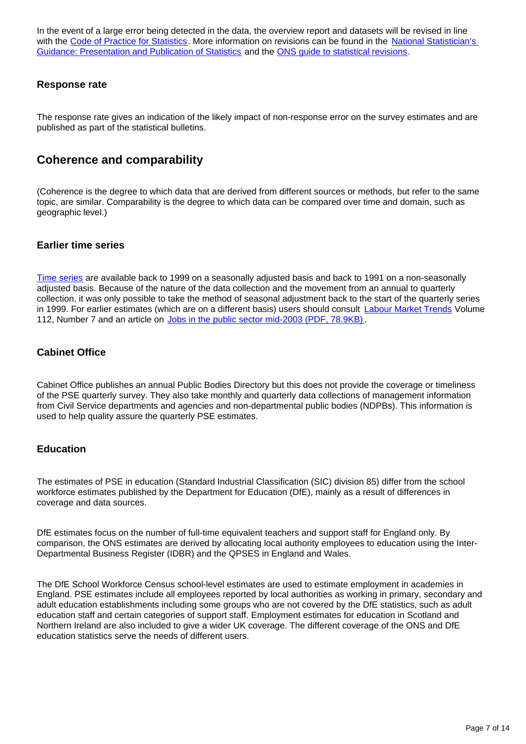In the event of a large error being detected in the data, the overview report and datasets will be revised in line with the [Code of Practice for Statistics.](http://www.statisticsauthority.gov.uk/assessment/code-of-practice/index.html) More information on revisions can be found in the National Statistician's [Guidance: Presentation and Publication of Statistics](http://www.statisticsauthority.gov.uk/national-statistician/ns-reports--reviews-and-guidance/national-statistician-s-guidance/presentation-and-publication-of-official-statistics.pdf) and the [ONS guide to statistical revisions.](https://www.ons.gov.uk/methodology/methodologytopicsandstatisticalconcepts/revisions/guidetostatisticalrevisions)

#### **Response rate**

The response rate gives an indication of the likely impact of non-response error on the survey estimates and are published as part of the statistical bulletins.

### **Coherence and comparability**

(Coherence is the degree to which data that are derived from different sources or methods, but refer to the same topic, are similar. Comparability is the degree to which data can be compared over time and domain, such as geographic level.)

#### **Earlier time series**

[Time series](https://www.ons.gov.uk/employmentandlabourmarket/peopleinwork/publicsectorpersonnel/datasets/publicsectoremploymenttimeseriesdataset) are available back to 1999 on a seasonally adjusted basis and back to 1991 on a non-seasonally adjusted basis. Because of the nature of the data collection and the movement from an annual to quarterly collection, it was only possible to take the method of seasonal adjustment back to the start of the quarterly series in 1999. For earlier estimates (which are on a different basis) users should consult [Labour Market Trends](http://webarchive.nationalarchives.gov.uk/20151014034524/http:/www.ons.gov.uk/ons/rel/lms/labour-market-trends--discontinued-/volume-112--no--7/index.html) Volume 112, Number 7 and an article on [Jobs in the public sector mid-2003 \(PDF, 78.9KB\)](http://webarchive.nationalarchives.gov.uk/20160105160709/http:/www.ons.gov.uk/ons/rel/lms/labour-market-trends--discontinued-/volume-112--no--7/jobs-in-the-public-sector-mid-2003.pdf).

#### **Cabinet Office**

Cabinet Office publishes an annual Public Bodies Directory but this does not provide the coverage or timeliness of the PSE quarterly survey. They also take monthly and quarterly data collections of management information from Civil Service departments and agencies and non-departmental public bodies (NDPBs). This information is used to help quality assure the quarterly PSE estimates.

#### **Education**

The estimates of PSE in education (Standard Industrial Classification (SIC) division 85) differ from the school workforce estimates published by the Department for Education (DfE), mainly as a result of differences in coverage and data sources.

DfE estimates focus on the number of full-time equivalent teachers and support staff for England only. By comparison, the ONS estimates are derived by allocating local authority employees to education using the Inter-Departmental Business Register (IDBR) and the QPSES in England and Wales.

The DfE School Workforce Census school-level estimates are used to estimate employment in academies in England. PSE estimates include all employees reported by local authorities as working in primary, secondary and adult education establishments including some groups who are not covered by the DfE statistics, such as adult education staff and certain categories of support staff. Employment estimates for education in Scotland and Northern Ireland are also included to give a wider UK coverage. The different coverage of the ONS and DfE education statistics serve the needs of different users.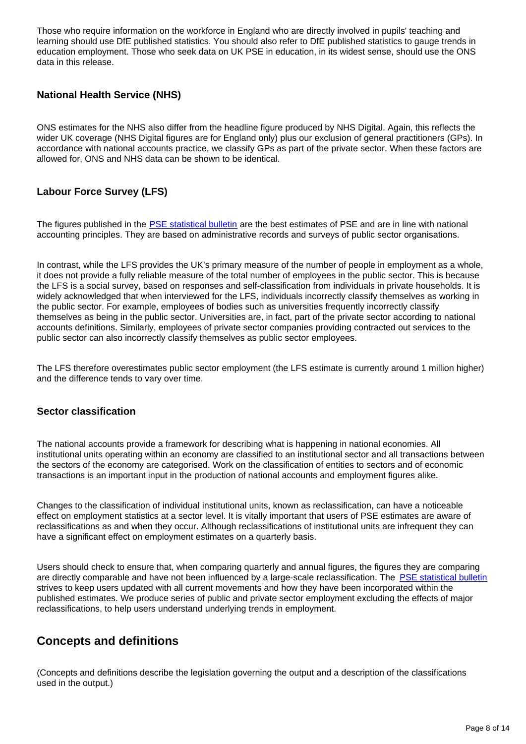Those who require information on the workforce in England who are directly involved in pupils' teaching and learning should use DfE published statistics. You should also refer to DfE published statistics to gauge trends in education employment. Those who seek data on UK PSE in education, in its widest sense, should use the ONS data in this release.

#### **National Health Service (NHS)**

ONS estimates for the NHS also differ from the headline figure produced by NHS Digital. Again, this reflects the wider UK coverage (NHS Digital figures are for England only) plus our exclusion of general practitioners (GPs). In accordance with national accounts practice, we classify GPs as part of the private sector. When these factors are allowed for, ONS and NHS data can be shown to be identical.

#### **Labour Force Survey (LFS)**

The figures published in the [PSE statistical bulletin](https://www.ons.gov.uk/employmentandlabourmarket/peopleinwork/publicsectorpersonnel/bulletins/publicsectoremployment/previousReleases) are the best estimates of PSE and are in line with national accounting principles. They are based on administrative records and surveys of public sector organisations.

In contrast, while the LFS provides the UK's primary measure of the number of people in employment as a whole, it does not provide a fully reliable measure of the total number of employees in the public sector. This is because the LFS is a social survey, based on responses and self-classification from individuals in private households. It is widely acknowledged that when interviewed for the LFS, individuals incorrectly classify themselves as working in the public sector. For example, employees of bodies such as universities frequently incorrectly classify themselves as being in the public sector. Universities are, in fact, part of the private sector according to national accounts definitions. Similarly, employees of private sector companies providing contracted out services to the public sector can also incorrectly classify themselves as public sector employees.

The LFS therefore overestimates public sector employment (the LFS estimate is currently around 1 million higher) and the difference tends to vary over time.

#### **Sector classification**

The national accounts provide a framework for describing what is happening in national economies. All institutional units operating within an economy are classified to an institutional sector and all transactions between the sectors of the economy are categorised. Work on the classification of entities to sectors and of economic transactions is an important input in the production of national accounts and employment figures alike.

Changes to the classification of individual institutional units, known as reclassification, can have a noticeable effect on employment statistics at a sector level. It is vitally important that users of PSE estimates are aware of reclassifications as and when they occur. Although reclassifications of institutional units are infrequent they can have a significant effect on employment estimates on a quarterly basis.

Users should check to ensure that, when comparing quarterly and annual figures, the figures they are comparing are directly comparable and have not been influenced by a large-scale reclassification. The [PSE statistical bulletin](https://www.ons.gov.uk/employmentandlabourmarket/peopleinwork/publicsectorpersonnel/bulletins/publicsectoremployment/previousReleases) strives to keep users updated with all current movements and how they have been incorporated within the published estimates. We produce series of public and private sector employment excluding the effects of major reclassifications, to help users understand underlying trends in employment.

## **Concepts and definitions**

(Concepts and definitions describe the legislation governing the output and a description of the classifications used in the output.)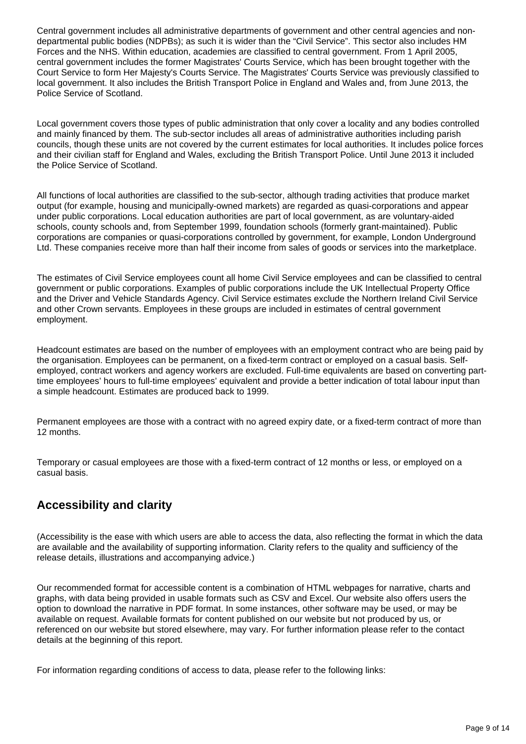Central government includes all administrative departments of government and other central agencies and nondepartmental public bodies (NDPBs); as such it is wider than the "Civil Service". This sector also includes HM Forces and the NHS. Within education, academies are classified to central government. From 1 April 2005, central government includes the former Magistrates' Courts Service, which has been brought together with the Court Service to form Her Majesty's Courts Service. The Magistrates' Courts Service was previously classified to local government. It also includes the British Transport Police in England and Wales and, from June 2013, the Police Service of Scotland.

Local government covers those types of public administration that only cover a locality and any bodies controlled and mainly financed by them. The sub-sector includes all areas of administrative authorities including parish councils, though these units are not covered by the current estimates for local authorities. It includes police forces and their civilian staff for England and Wales, excluding the British Transport Police. Until June 2013 it included the Police Service of Scotland.

All functions of local authorities are classified to the sub-sector, although trading activities that produce market output (for example, housing and municipally-owned markets) are regarded as quasi-corporations and appear under public corporations. Local education authorities are part of local government, as are voluntary-aided schools, county schools and, from September 1999, foundation schools (formerly grant-maintained). Public corporations are companies or quasi-corporations controlled by government, for example, London Underground Ltd. These companies receive more than half their income from sales of goods or services into the marketplace.

The estimates of Civil Service employees count all home Civil Service employees and can be classified to central government or public corporations. Examples of public corporations include the UK Intellectual Property Office and the Driver and Vehicle Standards Agency. Civil Service estimates exclude the Northern Ireland Civil Service and other Crown servants. Employees in these groups are included in estimates of central government employment.

Headcount estimates are based on the number of employees with an employment contract who are being paid by the organisation. Employees can be permanent, on a fixed-term contract or employed on a casual basis. Selfemployed, contract workers and agency workers are excluded. Full-time equivalents are based on converting parttime employees' hours to full-time employees' equivalent and provide a better indication of total labour input than a simple headcount. Estimates are produced back to 1999.

Permanent employees are those with a contract with no agreed expiry date, or a fixed-term contract of more than 12 months.

Temporary or casual employees are those with a fixed-term contract of 12 months or less, or employed on a casual basis.

## **Accessibility and clarity**

(Accessibility is the ease with which users are able to access the data, also reflecting the format in which the data are available and the availability of supporting information. Clarity refers to the quality and sufficiency of the release details, illustrations and accompanying advice.)

Our recommended format for accessible content is a combination of HTML webpages for narrative, charts and graphs, with data being provided in usable formats such as CSV and Excel. Our website also offers users the option to download the narrative in PDF format. In some instances, other software may be used, or may be available on request. Available formats for content published on our website but not produced by us, or referenced on our website but stored elsewhere, may vary. For further information please refer to the contact details at the beginning of this report.

For information regarding conditions of access to data, please refer to the following links: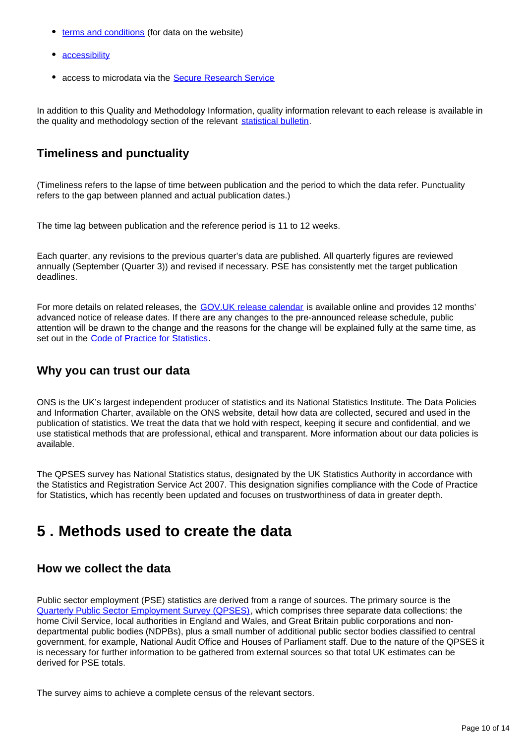- [terms and conditions](https://www.ons.gov.uk/help/termsandconditions) (for data on the website)
- [accessibility](https://www.ons.gov.uk/help/accessibility)
- access to microdata via the [Secure Research Service](https://www.ons.gov.uk/aboutus/whatwedo/paidservices/virtualmicrodatalaboratoryvml)

In addition to this Quality and Methodology Information, quality information relevant to each release is available in the quality and methodology section of the relevant [statistical bulletin.](https://www.ons.gov.uk/atoz)

## **Timeliness and punctuality**

(Timeliness refers to the lapse of time between publication and the period to which the data refer. Punctuality refers to the gap between planned and actual publication dates.)

The time lag between publication and the reference period is 11 to 12 weeks.

Each quarter, any revisions to the previous quarter's data are published. All quarterly figures are reviewed annually (September (Quarter 3)) and revised if necessary. PSE has consistently met the target publication deadlines.

For more details on related releases, the [GOV.UK release calendar](https://www.gov.uk/government/statistics/announcements) is available online and provides 12 months' advanced notice of release dates. If there are any changes to the pre-announced release schedule, public attention will be drawn to the change and the reasons for the change will be explained fully at the same time, as set out in the [Code of Practice for Statistics.](http://)

### **Why you can trust our data**

ONS is the UK's largest independent producer of statistics and its National Statistics Institute. The Data Policies and Information Charter, available on the ONS website, detail how data are collected, secured and used in the publication of statistics. We treat the data that we hold with respect, keeping it secure and confidential, and we use statistical methods that are professional, ethical and transparent. More information about our data policies is available.

The QPSES survey has National Statistics status, designated by the UK Statistics Authority in accordance with the Statistics and Registration Service Act 2007. This designation signifies compliance with the Code of Practice for Statistics, which has recently been updated and focuses on trustworthiness of data in greater depth.

## <span id="page-9-0"></span>**5 . Methods used to create the data**

## **How we collect the data**

Public sector employment (PSE) statistics are derived from a range of sources. The primary source is the [Quarterly Public Sector Employment Survey \(QPSES\),](https://www.ons.gov.uk/surveys/informationforbusinesses/businesssurveys/quarterlypublicsectoremploymentsurvey) which comprises three separate data collections: the home Civil Service, local authorities in England and Wales, and Great Britain public corporations and nondepartmental public bodies (NDPBs), plus a small number of additional public sector bodies classified to central government, for example, National Audit Office and Houses of Parliament staff. Due to the nature of the QPSES it is necessary for further information to be gathered from external sources so that total UK estimates can be derived for PSE totals.

The survey aims to achieve a complete census of the relevant sectors.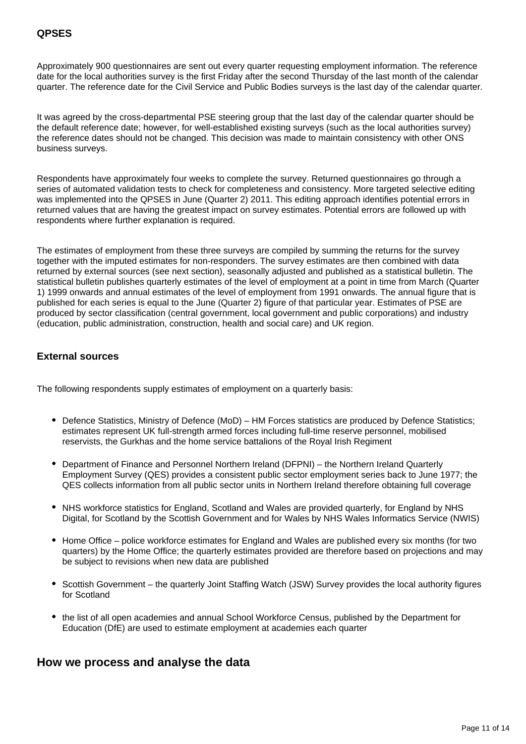Approximately 900 questionnaires are sent out every quarter requesting employment information. The reference date for the local authorities survey is the first Friday after the second Thursday of the last month of the calendar quarter. The reference date for the Civil Service and Public Bodies surveys is the last day of the calendar quarter.

It was agreed by the cross-departmental PSE steering group that the last day of the calendar quarter should be the default reference date; however, for well-established existing surveys (such as the local authorities survey) the reference dates should not be changed. This decision was made to maintain consistency with other ONS business surveys.

Respondents have approximately four weeks to complete the survey. Returned questionnaires go through a series of automated validation tests to check for completeness and consistency. More targeted selective editing was implemented into the QPSES in June (Quarter 2) 2011. This editing approach identifies potential errors in returned values that are having the greatest impact on survey estimates. Potential errors are followed up with respondents where further explanation is required.

The estimates of employment from these three surveys are compiled by summing the returns for the survey together with the imputed estimates for non-responders. The survey estimates are then combined with data returned by external sources (see next section), seasonally adjusted and published as a statistical bulletin. The statistical bulletin publishes quarterly estimates of the level of employment at a point in time from March (Quarter 1) 1999 onwards and annual estimates of the level of employment from 1991 onwards. The annual figure that is published for each series is equal to the June (Quarter 2) figure of that particular year. Estimates of PSE are produced by sector classification (central government, local government and public corporations) and industry (education, public administration, construction, health and social care) and UK region.

#### **External sources**

The following respondents supply estimates of employment on a quarterly basis:

- Defence Statistics, Ministry of Defence (MoD) HM Forces statistics are produced by Defence Statistics; estimates represent UK full-strength armed forces including full-time reserve personnel, mobilised reservists, the Gurkhas and the home service battalions of the Royal Irish Regiment
- Department of Finance and Personnel Northern Ireland (DFPNI) the Northern Ireland Quarterly Employment Survey (QES) provides a consistent public sector employment series back to June 1977; the QES collects information from all public sector units in Northern Ireland therefore obtaining full coverage
- NHS workforce statistics for England, Scotland and Wales are provided quarterly, for England by NHS Digital, for Scotland by the Scottish Government and for Wales by NHS Wales Informatics Service (NWIS)
- Home Office police workforce estimates for England and Wales are published every six months (for two quarters) by the Home Office; the quarterly estimates provided are therefore based on projections and may be subject to revisions when new data are published
- Scottish Government the quarterly Joint Staffing Watch (JSW) Survey provides the local authority figures for Scotland
- the list of all open academies and annual School Workforce Census, published by the Department for Education (DfE) are used to estimate employment at academies each quarter

#### **How we process and analyse the data**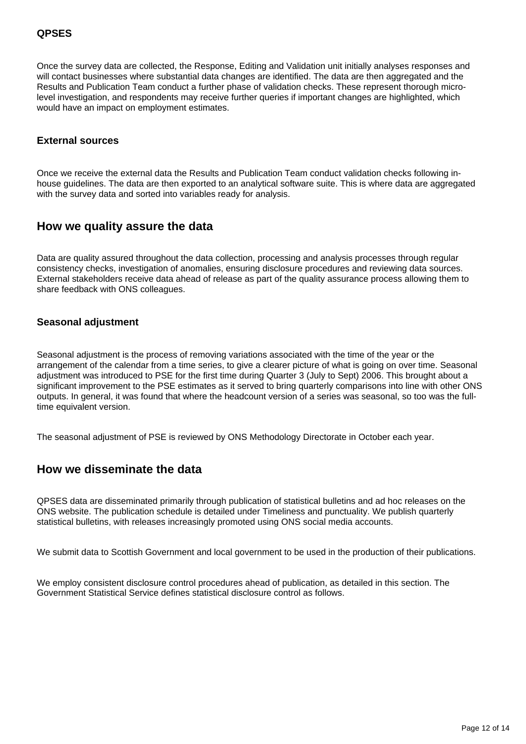#### **QPSES**

Once the survey data are collected, the Response, Editing and Validation unit initially analyses responses and will contact businesses where substantial data changes are identified. The data are then aggregated and the Results and Publication Team conduct a further phase of validation checks. These represent thorough microlevel investigation, and respondents may receive further queries if important changes are highlighted, which would have an impact on employment estimates.

#### **External sources**

Once we receive the external data the Results and Publication Team conduct validation checks following inhouse guidelines. The data are then exported to an analytical software suite. This is where data are aggregated with the survey data and sorted into variables ready for analysis.

#### **How we quality assure the data**

Data are quality assured throughout the data collection, processing and analysis processes through regular consistency checks, investigation of anomalies, ensuring disclosure procedures and reviewing data sources. External stakeholders receive data ahead of release as part of the quality assurance process allowing them to share feedback with ONS colleagues.

#### **Seasonal adjustment**

Seasonal adjustment is the process of removing variations associated with the time of the year or the arrangement of the calendar from a time series, to give a clearer picture of what is going on over time. Seasonal adjustment was introduced to PSE for the first time during Quarter 3 (July to Sept) 2006. This brought about a significant improvement to the PSE estimates as it served to bring quarterly comparisons into line with other ONS outputs. In general, it was found that where the headcount version of a series was seasonal, so too was the fulltime equivalent version.

The seasonal adjustment of PSE is reviewed by ONS Methodology Directorate in October each year.

#### **How we disseminate the data**

QPSES data are disseminated primarily through publication of statistical bulletins and ad hoc releases on the ONS website. The publication schedule is detailed under Timeliness and punctuality. We publish quarterly statistical bulletins, with releases increasingly promoted using ONS social media accounts.

We submit data to Scottish Government and local government to be used in the production of their publications.

We employ consistent disclosure control procedures ahead of publication, as detailed in this section. The Government Statistical Service defines statistical disclosure control as follows.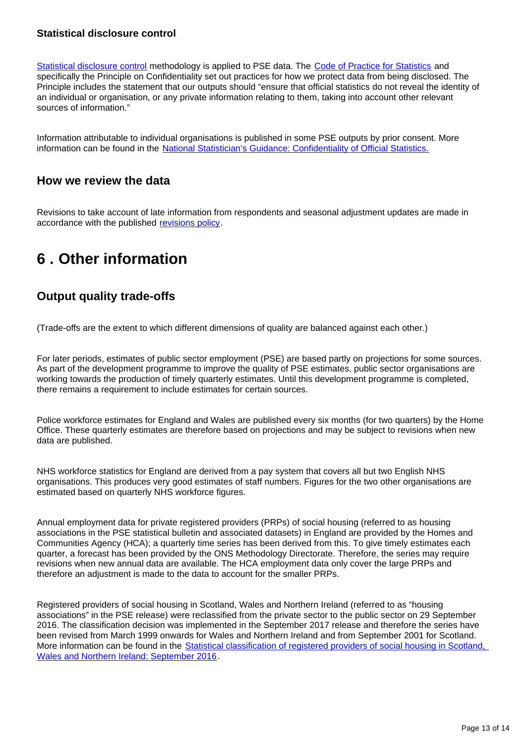#### **Statistical disclosure control**

[Statistical disclosure control](https://www.ons.gov.uk/methodology/methodologytopicsandstatisticalconcepts/disclosurecontrol) methodology is applied to PSE data. The [Code of Practice for Statistics](http://www.statisticsauthority.gov.uk/assessment/code-of-practice/index.html) and specifically the Principle on Confidentiality set out practices for how we protect data from being disclosed. The Principle includes the statement that our outputs should "ensure that official statistics do not reveal the identity of an individual or organisation, or any private information relating to them, taking into account other relevant sources of information."

Information attributable to individual organisations is published in some PSE outputs by prior consent. More information can be found in the [National Statistician's Guidance: Confidentiality of Official Statistics.](http://www.statisticsauthority.gov.uk/national-statistician/ns-reports--reviews-and-guidance/national-statistician-s-guidance/confidentiality-of-official-statistics.pdf)

### **How we review the data**

Revisions to take account of late information from respondents and seasonal adjustment updates are made in accordance with the published [revisions policy](https://www.ons.gov.uk/methodology/methodologytopicsandstatisticalconcepts/revisions/revisionspoliciesforlabourmarketstatistics).

## <span id="page-12-0"></span>**6 . Other information**

## **Output quality trade-offs**

(Trade-offs are the extent to which different dimensions of quality are balanced against each other.)

For later periods, estimates of public sector employment (PSE) are based partly on projections for some sources. As part of the development programme to improve the quality of PSE estimates, public sector organisations are working towards the production of timely quarterly estimates. Until this development programme is completed, there remains a requirement to include estimates for certain sources.

Police workforce estimates for England and Wales are published every six months (for two quarters) by the Home Office. These quarterly estimates are therefore based on projections and may be subject to revisions when new data are published.

NHS workforce statistics for England are derived from a pay system that covers all but two English NHS organisations. This produces very good estimates of staff numbers. Figures for the two other organisations are estimated based on quarterly NHS workforce figures.

Annual employment data for private registered providers (PRPs) of social housing (referred to as housing associations in the PSE statistical bulletin and associated datasets) in England are provided by the Homes and Communities Agency (HCA); a quarterly time series has been derived from this. To give timely estimates each quarter, a forecast has been provided by the ONS Methodology Directorate. Therefore, the series may require revisions when new annual data are available. The HCA employment data only cover the large PRPs and therefore an adjustment is made to the data to account for the smaller PRPs.

Registered providers of social housing in Scotland, Wales and Northern Ireland (referred to as "housing associations" in the PSE release) were reclassified from the private sector to the public sector on 29 September 2016. The classification decision was implemented in the September 2017 release and therefore the series have been revised from March 1999 onwards for Wales and Northern Ireland and from September 2001 for Scotland. More information can be found in the [Statistical classification of registered providers of social housing in Scotland,](https://www.ons.gov.uk/economy/nationalaccounts/uksectoraccounts/articles/statisticalclassificationofregisteredprovidersofsocialhousinginscotlandwalesandnorthernireland/september2016)  [Wales and Northern Ireland: September 2016](https://www.ons.gov.uk/economy/nationalaccounts/uksectoraccounts/articles/statisticalclassificationofregisteredprovidersofsocialhousinginscotlandwalesandnorthernireland/september2016).